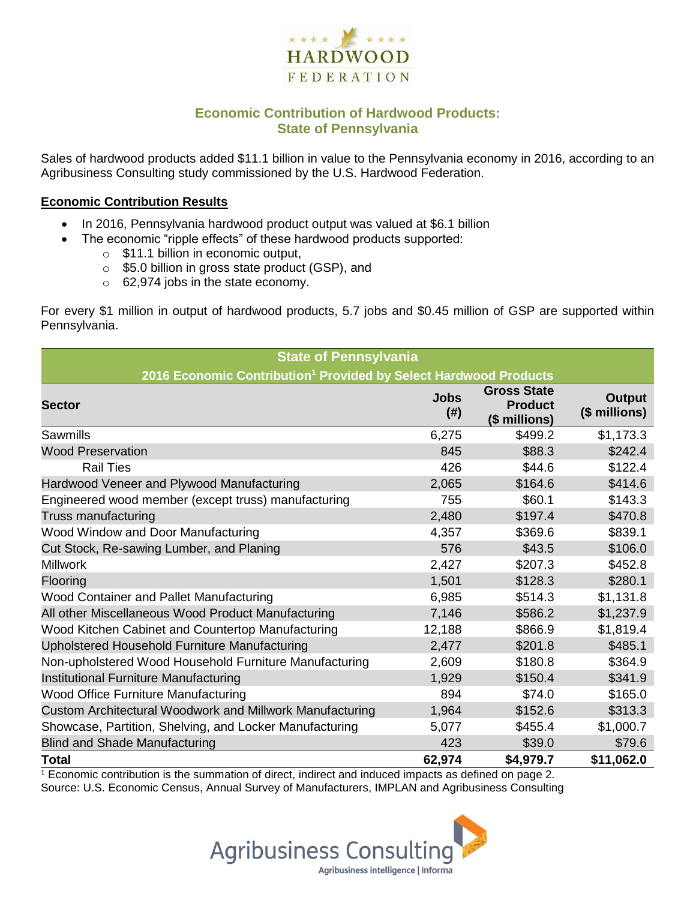

# **Economic Contribution of Hardwood Products: State of Pennsylvania**

Sales of hardwood products added \$11.1 billion in value to the Pennsylvania economy in 2016, according to an Agribusiness Consulting study commissioned by the U.S. Hardwood Federation.

#### **Economic Contribution Results**

- In 2016, Pennsylvania hardwood product output was valued at \$6.1 billion
	- The economic "ripple effects" of these hardwood products supported:
		- o \$11.1 billion in economic output,
		- o \$5.0 billion in gross state product (GSP), and
		- o 62,974 jobs in the state economy.

For every \$1 million in output of hardwood products, 5.7 jobs and \$0.45 million of GSP are supported within Pennsylvania.

| <b>State of Pennsylvania</b>                                                 |                     |                                                       |                                |  |  |  |
|------------------------------------------------------------------------------|---------------------|-------------------------------------------------------|--------------------------------|--|--|--|
| 2016 Economic Contribution <sup>1</sup> Provided by Select Hardwood Products |                     |                                                       |                                |  |  |  |
| <b>Sector</b>                                                                | <b>Jobs</b><br>(# ) | <b>Gross State</b><br><b>Product</b><br>(\$ millions) | <b>Output</b><br>(\$ millions) |  |  |  |
| Sawmills                                                                     | 6,275               | \$499.2                                               | \$1,173.3                      |  |  |  |
| <b>Wood Preservation</b>                                                     | 845                 | \$88.3                                                | \$242.4                        |  |  |  |
| <b>Rail Ties</b>                                                             | 426                 | \$44.6                                                | \$122.4                        |  |  |  |
| Hardwood Veneer and Plywood Manufacturing                                    | 2,065               | \$164.6                                               | \$414.6                        |  |  |  |
| Engineered wood member (except truss) manufacturing                          | 755                 | \$60.1                                                | \$143.3                        |  |  |  |
| Truss manufacturing                                                          | 2,480               | \$197.4                                               | \$470.8                        |  |  |  |
| Wood Window and Door Manufacturing                                           | 4,357               | \$369.6                                               | \$839.1                        |  |  |  |
| Cut Stock, Re-sawing Lumber, and Planing                                     | 576                 | \$43.5                                                | \$106.0                        |  |  |  |
| <b>Millwork</b>                                                              | 2,427               | \$207.3                                               | \$452.8                        |  |  |  |
| Flooring                                                                     | 1,501               | \$128.3                                               | \$280.1                        |  |  |  |
| Wood Container and Pallet Manufacturing                                      | 6,985               | \$514.3                                               | \$1,131.8                      |  |  |  |
| All other Miscellaneous Wood Product Manufacturing                           | 7,146               | \$586.2                                               | \$1,237.9                      |  |  |  |
| Wood Kitchen Cabinet and Countertop Manufacturing                            | 12,188              | \$866.9                                               | \$1,819.4                      |  |  |  |
| Upholstered Household Furniture Manufacturing                                | 2,477               | \$201.8                                               | \$485.1                        |  |  |  |
| Non-upholstered Wood Household Furniture Manufacturing                       | 2,609               | \$180.8                                               | \$364.9                        |  |  |  |
| Institutional Furniture Manufacturing                                        | 1,929               | \$150.4                                               | \$341.9                        |  |  |  |
| <b>Wood Office Furniture Manufacturing</b>                                   | 894                 | \$74.0                                                | \$165.0                        |  |  |  |
| Custom Architectural Woodwork and Millwork Manufacturing                     | 1,964               | \$152.6                                               | \$313.3                        |  |  |  |
| Showcase, Partition, Shelving, and Locker Manufacturing                      | 5,077               | \$455.4                                               | \$1,000.7                      |  |  |  |
| <b>Blind and Shade Manufacturing</b>                                         | 423                 | \$39.0                                                | \$79.6                         |  |  |  |
| <b>Total</b>                                                                 | 62,974              | \$4,979.7                                             | \$11,062.0                     |  |  |  |

 $1$  Economic contribution is the summation of direct, indirect and induced impacts as defined on page 2. Source: U.S. Economic Census, Annual Survey of Manufacturers, IMPLAN and Agribusiness Consulting